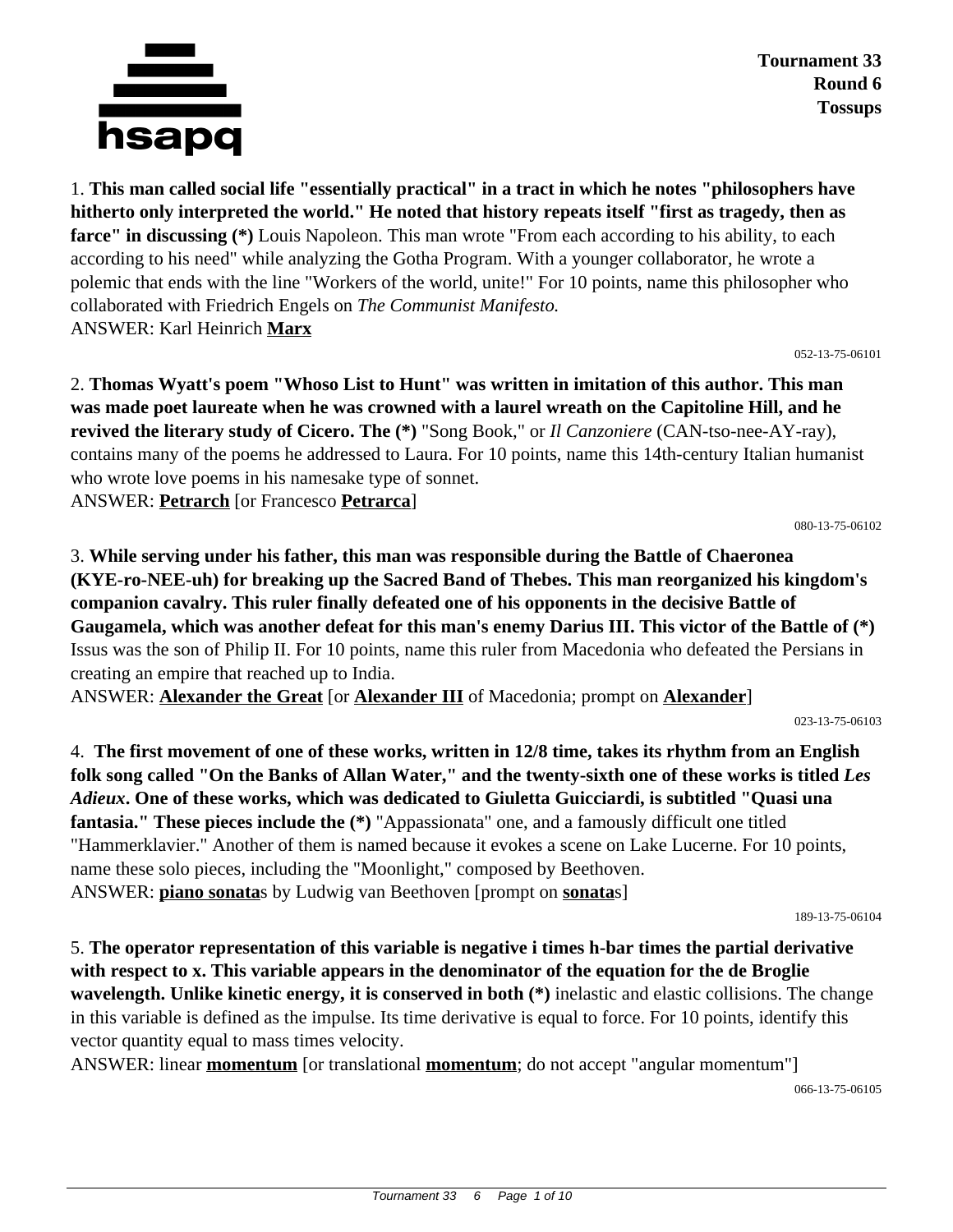

1. **This man called social life "essentially practical" in a tract in which he notes "philosophers have hitherto only interpreted the world." He noted that history repeats itself "first as tragedy, then as farce" in discussing (\*)** Louis Napoleon. This man wrote "From each according to his ability, to each according to his need" while analyzing the Gotha Program. With a younger collaborator, he wrote a polemic that ends with the line "Workers of the world, unite!" For 10 points, name this philosopher who collaborated with Friedrich Engels on *The Communist Manifesto.* ANSWER: Karl Heinrich **Marx**

052-13-75-06101

2. **Thomas Wyatt's poem "Whoso List to Hunt" was written in imitation of this author. This man was made poet laureate when he was crowned with a laurel wreath on the Capitoline Hill, and he revived the literary study of Cicero. The (\*)** "Song Book," or *Il Canzoniere* (CAN-tso-nee-AY-ray), contains many of the poems he addressed to Laura. For 10 points, name this 14th-century Italian humanist who wrote love poems in his namesake type of sonnet. ANSWER: **Petrarch** [or Francesco **Petrarca**]

080-13-75-06102

3. **While serving under his father, this man was responsible during the Battle of Chaeronea (KYE-ro-NEE-uh) for breaking up the Sacred Band of Thebes. This man reorganized his kingdom's companion cavalry. This ruler finally defeated one of his opponents in the decisive Battle of Gaugamela, which was another defeat for this man's enemy Darius III. This victor of the Battle of (\*)** Issus was the son of Philip II. For 10 points, name this ruler from Macedonia who defeated the Persians in creating an empire that reached up to India.

ANSWER: **Alexander the Great** [or **Alexander III** of Macedonia; prompt on **Alexander**]

023-13-75-06103

4. **The first movement of one of these works, written in 12/8 time, takes its rhythm from an English folk song called "On the Banks of Allan Water," and the twenty-sixth one of these works is titled** *Les Adieux***. One of these works, which was dedicated to Giuletta Guicciardi, is subtitled "Quasi una fantasia." These pieces include the (\*)** "Appassionata" one, and a famously difficult one titled "Hammerklavier." Another of them is named because it evokes a scene on Lake Lucerne. For 10 points, name these solo pieces, including the "Moonlight," composed by Beethoven. ANSWER: **piano sonata**s by Ludwig van Beethoven [prompt on **sonata**s]

189-13-75-06104

5. **The operator representation of this variable is negative i times h-bar times the partial derivative with respect to x. This variable appears in the denominator of the equation for the de Broglie wavelength. Unlike kinetic energy, it is conserved in both (\*)** inelastic and elastic collisions. The change in this variable is defined as the impulse. Its time derivative is equal to force. For 10 points, identify this vector quantity equal to mass times velocity.

ANSWER: linear **momentum** [or translational **momentum**; do not accept "angular momentum"]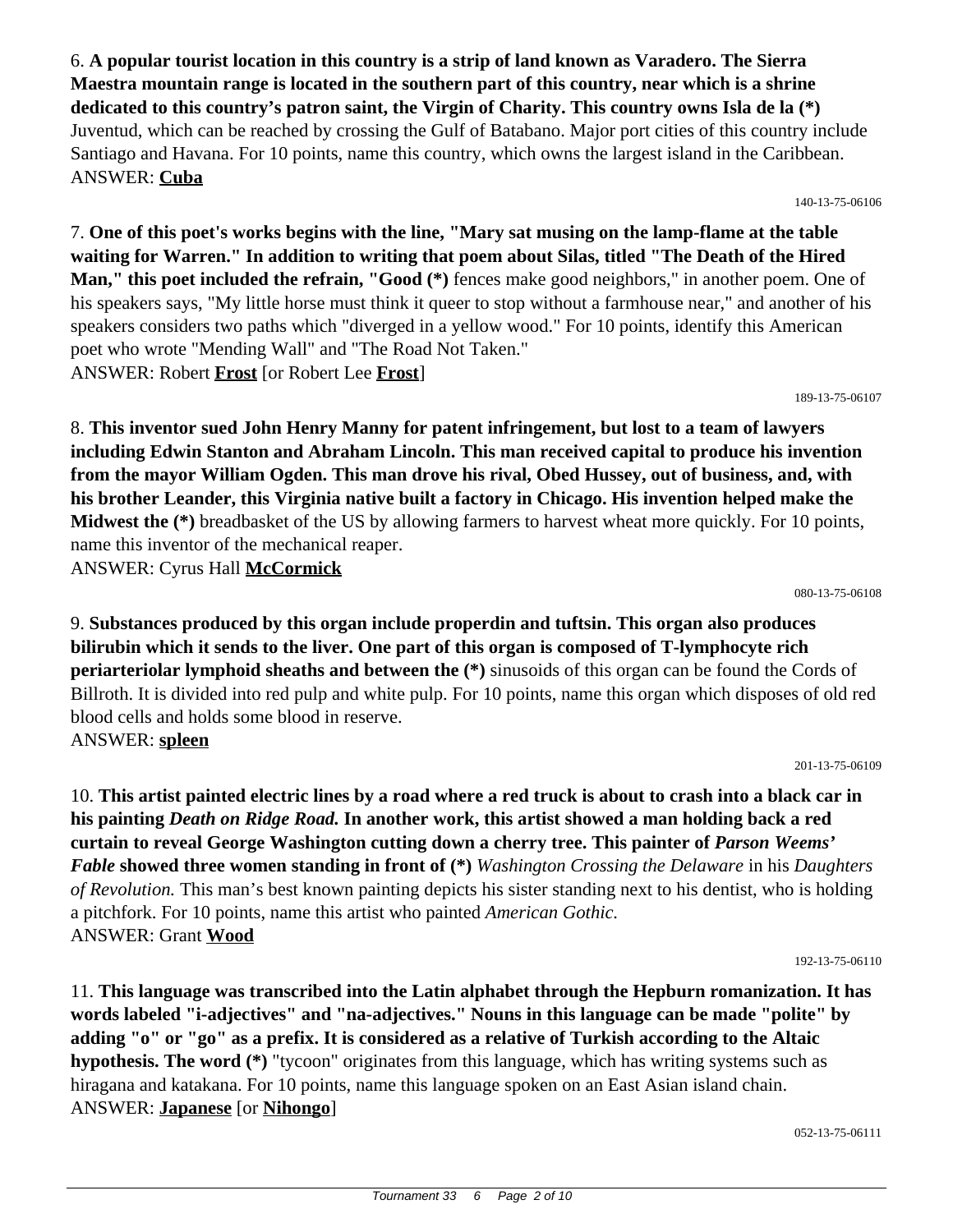6. **A popular tourist location in this country is a strip of land known as Varadero. The Sierra Maestra mountain range is located in the southern part of this country, near which is a shrine dedicated to this country's patron saint, the Virgin of Charity. This country owns Isla de la (\*)** Juventud, which can be reached by crossing the Gulf of Batabano. Major port cities of this country include Santiago and Havana. For 10 points, name this country, which owns the largest island in the Caribbean. ANSWER: **Cuba**

140-13-75-06106

7. **One of this poet's works begins with the line, "Mary sat musing on the lamp-flame at the table waiting for Warren." In addition to writing that poem about Silas, titled "The Death of the Hired Man," this poet included the refrain, "Good (\*)** fences make good neighbors," in another poem. One of his speakers says, "My little horse must think it queer to stop without a farmhouse near," and another of his speakers considers two paths which "diverged in a yellow wood." For 10 points, identify this American poet who wrote "Mending Wall" and "The Road Not Taken." ANSWER: Robert **Frost** [or Robert Lee **Frost**]

189-13-75-06107

8. **This inventor sued John Henry Manny for patent infringement, but lost to a team of lawyers including Edwin Stanton and Abraham Lincoln. This man received capital to produce his invention from the mayor William Ogden. This man drove his rival, Obed Hussey, out of business, and, with his brother Leander, this Virginia native built a factory in Chicago. His invention helped make the Midwest the (\*)** breadbasket of the US by allowing farmers to harvest wheat more quickly. For 10 points, name this inventor of the mechanical reaper. ANSWER: Cyrus Hall **McCormick**

080-13-75-06108

9. **Substances produced by this organ include properdin and tuftsin. This organ also produces bilirubin which it sends to the liver. One part of this organ is composed of T-lymphocyte rich periarteriolar lymphoid sheaths and between the (\*)** sinusoids of this organ can be found the Cords of Billroth. It is divided into red pulp and white pulp. For 10 points, name this organ which disposes of old red blood cells and holds some blood in reserve. ANSWER: **spleen**

201-13-75-06109

10. **This artist painted electric lines by a road where a red truck is about to crash into a black car in his painting** *Death on Ridge Road.* **In another work, this artist showed a man holding back a red curtain to reveal George Washington cutting down a cherry tree. This painter of** *Parson Weems' Fable* **showed three women standing in front of (\*)** *Washington Crossing the Delaware* in his *Daughters of Revolution.* This man's best known painting depicts his sister standing next to his dentist, who is holding a pitchfork. For 10 points, name this artist who painted *American Gothic.* ANSWER: Grant **Wood**

192-13-75-06110

11. **This language was transcribed into the Latin alphabet through the Hepburn romanization. It has words labeled "i-adjectives" and "na-adjectives." Nouns in this language can be made "polite" by adding "o" or "go" as a prefix. It is considered as a relative of Turkish according to the Altaic hypothesis. The word (\*)** "tycoon" originates from this language, which has writing systems such as hiragana and katakana. For 10 points, name this language spoken on an East Asian island chain. ANSWER: **Japanese** [or **Nihongo**]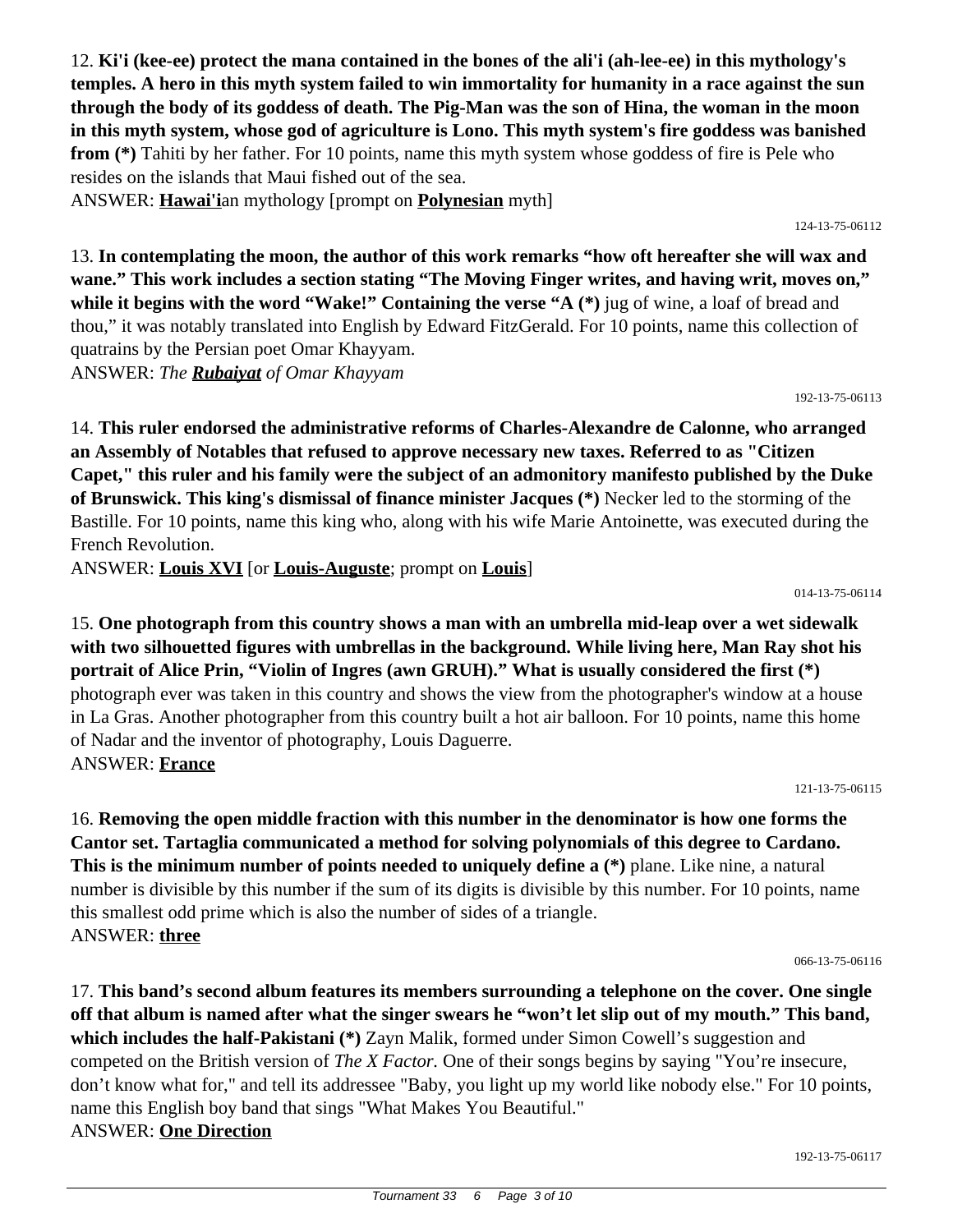12. **Ki'i (kee-ee) protect the mana contained in the bones of the ali'i (ah-lee-ee) in this mythology's temples. A hero in this myth system failed to win immortality for humanity in a race against the sun through the body of its goddess of death. The Pig-Man was the son of Hina, the woman in the moon in this myth system, whose god of agriculture is Lono. This myth system's fire goddess was banished from (\*)** Tahiti by her father. For 10 points, name this myth system whose goddess of fire is Pele who resides on the islands that Maui fished out of the sea.

ANSWER: **Hawai'i**an mythology [prompt on **Polynesian** myth]

124-13-75-06112

13. **In contemplating the moon, the author of this work remarks "how oft hereafter she will wax and wane." This work includes a section stating "The Moving Finger writes, and having writ, moves on," while it begins with the word "Wake!" Containing the verse "A (\*)** jug of wine, a loaf of bread and thou," it was notably translated into English by Edward FitzGerald. For 10 points, name this collection of quatrains by the Persian poet Omar Khayyam. ANSWER: *The Rubaiyat of Omar Khayyam*

192-13-75-06113

14. **This ruler endorsed the administrative reforms of Charles-Alexandre de Calonne, who arranged an Assembly of Notables that refused to approve necessary new taxes. Referred to as "Citizen Capet," this ruler and his family were the subject of an admonitory manifesto published by the Duke of Brunswick. This king's dismissal of finance minister Jacques (\*)** Necker led to the storming of the Bastille. For 10 points, name this king who, along with his wife Marie Antoinette, was executed during the French Revolution.

ANSWER: **Louis XVI** [or **Louis-Auguste**; prompt on **Louis**]

014-13-75-06114

15. **One photograph from this country shows a man with an umbrella mid-leap over a wet sidewalk with two silhouetted figures with umbrellas in the background. While living here, Man Ray shot his portrait of Alice Prin, "Violin of Ingres (awn GRUH)." What is usually considered the first (\*)** photograph ever was taken in this country and shows the view from the photographer's window at a house in La Gras. Another photographer from this country built a hot air balloon. For 10 points, name this home of Nadar and the inventor of photography, Louis Daguerre. ANSWER: **France**

121-13-75-06115

16. **Removing the open middle fraction with this number in the denominator is how one forms the Cantor set. Tartaglia communicated a method for solving polynomials of this degree to Cardano. This is the minimum number of points needed to uniquely define a (\*)** plane. Like nine, a natural number is divisible by this number if the sum of its digits is divisible by this number. For 10 points, name this smallest odd prime which is also the number of sides of a triangle. ANSWER: **three**

066-13-75-06116

17. **This band's second album features its members surrounding a telephone on the cover. One single off that album is named after what the singer swears he "won't let slip out of my mouth." This band, which includes the half-Pakistani (\*)** Zayn Malik, formed under Simon Cowell's suggestion and competed on the British version of *The X Factor.* One of their songs begins by saying "You're insecure, don't know what for," and tell its addressee "Baby, you light up my world like nobody else." For 10 points, name this English boy band that sings "What Makes You Beautiful." ANSWER: **One Direction**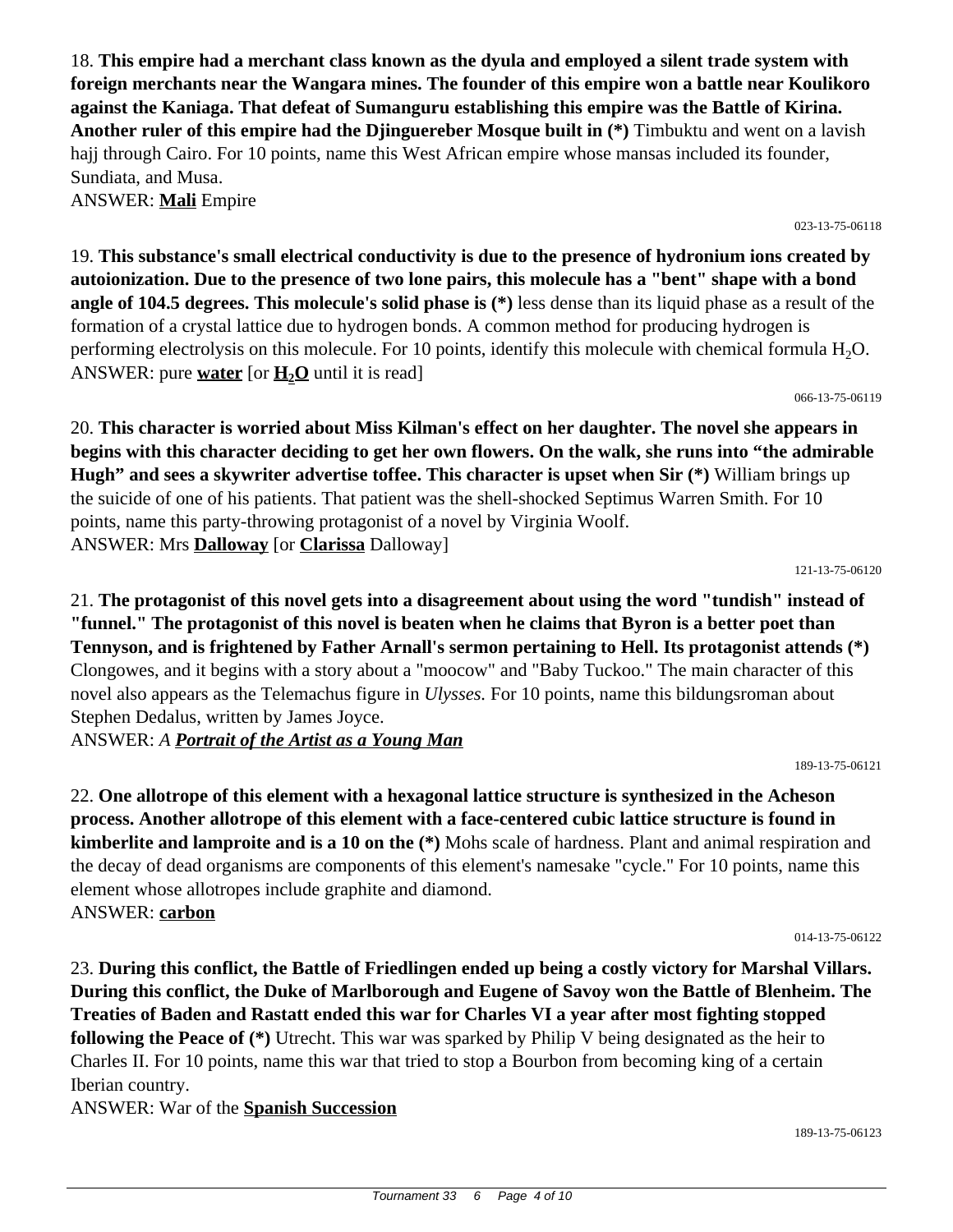18. **This empire had a merchant class known as the dyula and employed a silent trade system with foreign merchants near the Wangara mines. The founder of this empire won a battle near Koulikoro against the Kaniaga. That defeat of Sumanguru establishing this empire was the Battle of Kirina. Another ruler of this empire had the Djinguereber Mosque built in (\*)** Timbuktu and went on a lavish hajj through Cairo. For 10 points, name this West African empire whose mansas included its founder, Sundiata, and Musa. ANSWER: **Mali** Empire

023-13-75-06118

19. **This substance's small electrical conductivity is due to the presence of hydronium ions created by autoionization. Due to the presence of two lone pairs, this molecule has a "bent" shape with a bond angle of 104.5 degrees. This molecule's solid phase is (\*)** less dense than its liquid phase as a result of the formation of a crystal lattice due to hydrogen bonds. A common method for producing hydrogen is performing electrolysis on this molecule. For 10 points, identify this molecule with chemical formula  $H_2O$ . ANSWER: pure **water** [or  $\mathbf{H}_{2}\mathbf{O}$  until it is read]

066-13-75-06119

20. **This character is worried about Miss Kilman's effect on her daughter. The novel she appears in begins with this character deciding to get her own flowers. On the walk, she runs into "the admirable Hugh" and sees a skywriter advertise toffee. This character is upset when Sir (\*)** William brings up the suicide of one of his patients. That patient was the shell-shocked Septimus Warren Smith. For 10 points, name this party-throwing protagonist of a novel by Virginia Woolf. ANSWER: Mrs **Dalloway** [or **Clarissa** Dalloway]

121-13-75-06120

21. **The protagonist of this novel gets into a disagreement about using the word "tundish" instead of "funnel." The protagonist of this novel is beaten when he claims that Byron is a better poet than Tennyson, and is frightened by Father Arnall's sermon pertaining to Hell. Its protagonist attends (\*)** Clongowes, and it begins with a story about a "moocow" and "Baby Tuckoo." The main character of this novel also appears as the Telemachus figure in *Ulysses.* For 10 points, name this bildungsroman about Stephen Dedalus, written by James Joyce.

ANSWER: *A Portrait of the Artist as a Young Man*

22. **One allotrope of this element with a hexagonal lattice structure is synthesized in the Acheson process. Another allotrope of this element with a face-centered cubic lattice structure is found in kimberlite and lamproite and is a 10 on the (\*)** Mohs scale of hardness. Plant and animal respiration and the decay of dead organisms are components of this element's namesake "cycle." For 10 points, name this element whose allotropes include graphite and diamond. ANSWER: **carbon**

014-13-75-06122

189-13-75-06123

189-13-75-06121

23. **During this conflict, the Battle of Friedlingen ended up being a costly victory for Marshal Villars. During this conflict, the Duke of Marlborough and Eugene of Savoy won the Battle of Blenheim. The Treaties of Baden and Rastatt ended this war for Charles VI a year after most fighting stopped following the Peace of (\*)** Utrecht. This war was sparked by Philip V being designated as the heir to Charles II. For 10 points, name this war that tried to stop a Bourbon from becoming king of a certain Iberian country.

ANSWER: War of the **Spanish Succession**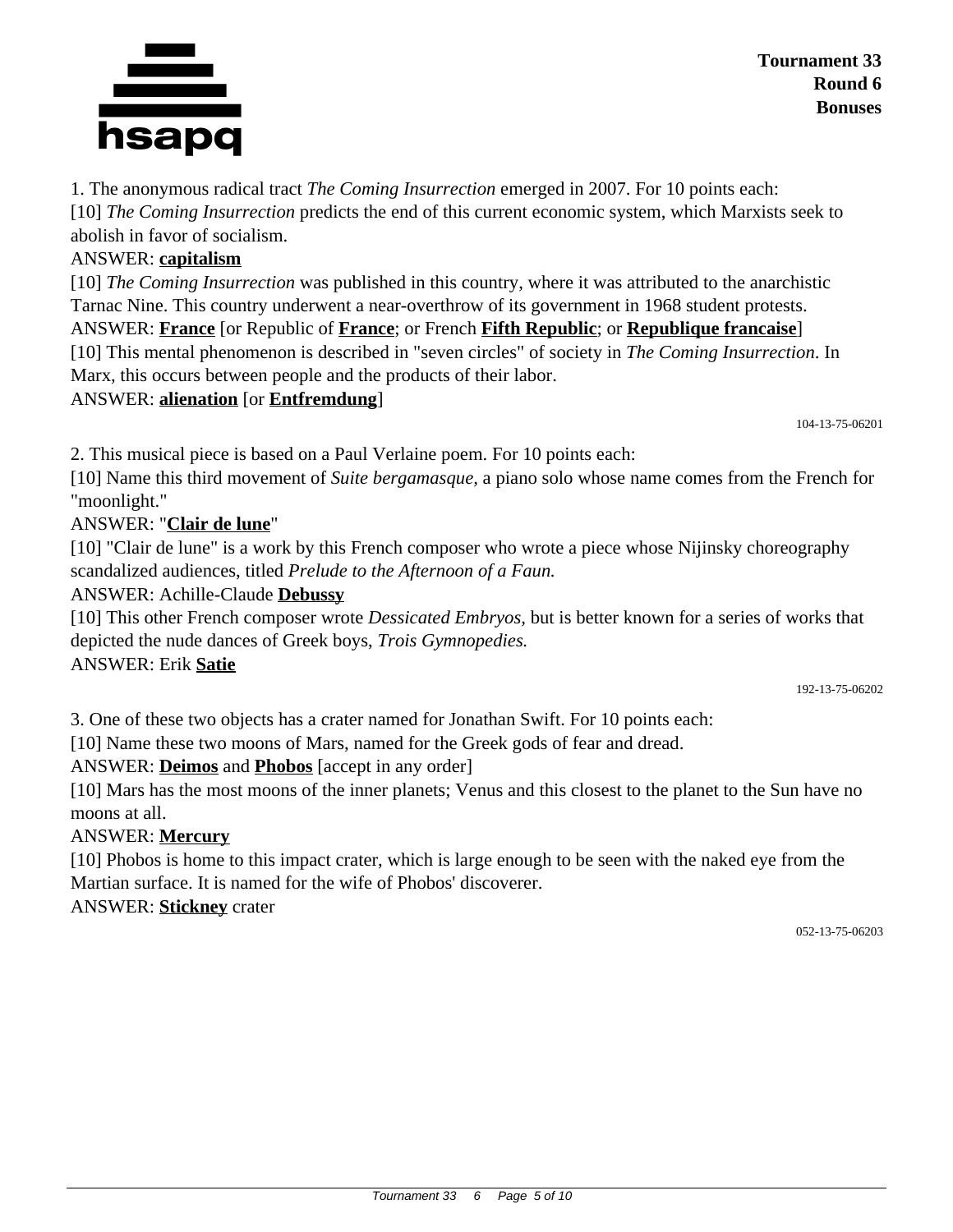## **Tournament 33 Round 6 Bonuses**

1. The anonymous radical tract *The Coming Insurrection* emerged in 2007. For 10 points each: [10] *The Coming Insurrection* predicts the end of this current economic system, which Marxists seek to abolish in favor of socialism.

# ANSWER: **capitalism**

[10] *The Coming Insurrection* was published in this country, where it was attributed to the anarchistic Tarnac Nine. This country underwent a near-overthrow of its government in 1968 student protests. ANSWER: **France** [or Republic of **France**; or French **Fifth Republic**; or **Republique francaise**] [10] This mental phenomenon is described in "seven circles" of society in *The Coming Insurrection*. In Marx, this occurs between people and the products of their labor.

## ANSWER: **alienation** [or **Entfremdung**]

2. This musical piece is based on a Paul Verlaine poem. For 10 points each:

[10] Name this third movement of *Suite bergamasque,* a piano solo whose name comes from the French for "moonlight."

## ANSWER: "**Clair de lune**"

[10] "Clair de lune" is a work by this French composer who wrote a piece whose Nijinsky choreography scandalized audiences, titled *Prelude to the Afternoon of a Faun.*

ANSWER: Achille-Claude **Debussy**

[10] This other French composer wrote *Dessicated Embryos,* but is better known for a series of works that depicted the nude dances of Greek boys, *Trois Gymnopedies.*

#### ANSWER: Erik **Satie**

192-13-75-06202

104-13-75-06201

3. One of these two objects has a crater named for Jonathan Swift. For 10 points each:

[10] Name these two moons of Mars, named for the Greek gods of fear and dread.

ANSWER: **Deimos** and **Phobos** [accept in any order]

[10] Mars has the most moons of the inner planets; Venus and this closest to the planet to the Sun have no moons at all.

### ANSWER: **Mercury**

[10] Phobos is home to this impact crater, which is large enough to be seen with the naked eye from the Martian surface. It is named for the wife of Phobos' discoverer.

ANSWER: **Stickney** crater

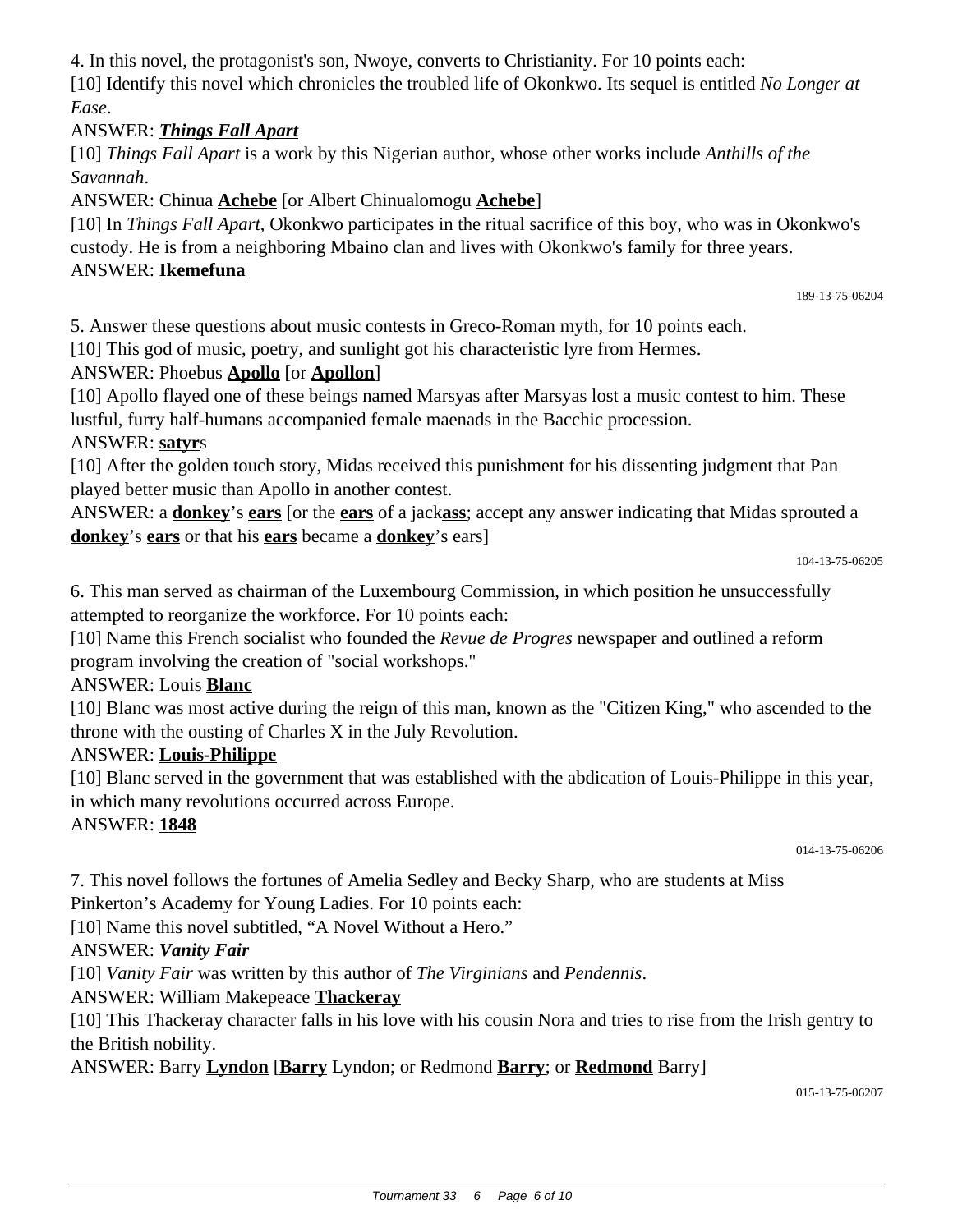4. In this novel, the protagonist's son, Nwoye, converts to Christianity. For 10 points each: [10] Identify this novel which chronicles the troubled life of Okonkwo. Its sequel is entitled *No Longer at Ease*.

### ANSWER: *Things Fall Apart*

[10] *Things Fall Apart* is a work by this Nigerian author, whose other works include *Anthills of the Savannah*.

ANSWER: Chinua **Achebe** [or Albert Chinualomogu **Achebe**]

[10] In *Things Fall Apart*, Okonkwo participates in the ritual sacrifice of this boy, who was in Okonkwo's custody. He is from a neighboring Mbaino clan and lives with Okonkwo's family for three years. ANSWER: **Ikemefuna**

189-13-75-06204

5. Answer these questions about music contests in Greco-Roman myth, for 10 points each.

[10] This god of music, poetry, and sunlight got his characteristic lyre from Hermes.

### ANSWER: Phoebus **Apollo** [or **Apollon**]

[10] Apollo flayed one of these beings named Marsyas after Marsyas lost a music contest to him. These lustful, furry half-humans accompanied female maenads in the Bacchic procession.

### ANSWER: **satyr**s

[10] After the golden touch story, Midas received this punishment for his dissenting judgment that Pan played better music than Apollo in another contest.

ANSWER: a **donkey**'s **ears** [or the **ears** of a jack**ass**; accept any answer indicating that Midas sprouted a **donkey**'s **ears** or that his **ears** became a **donkey**'s ears]

```
104-13-75-06205
```
6. This man served as chairman of the Luxembourg Commission, in which position he unsuccessfully attempted to reorganize the workforce. For 10 points each:

[10] Name this French socialist who founded the *Revue de Progres* newspaper and outlined a reform program involving the creation of "social workshops."

### ANSWER: Louis **Blanc**

[10] Blanc was most active during the reign of this man, known as the "Citizen King," who ascended to the throne with the ousting of Charles X in the July Revolution.

### ANSWER: **Louis-Philippe**

[10] Blanc served in the government that was established with the abdication of Louis-Philippe in this year, in which many revolutions occurred across Europe.

### ANSWER: **1848**

014-13-75-06206

7. This novel follows the fortunes of Amelia Sedley and Becky Sharp, who are students at Miss Pinkerton's Academy for Young Ladies. For 10 points each:

[10] Name this novel subtitled, "A Novel Without a Hero."

### ANSWER: *Vanity Fair*

[10] *Vanity Fair* was written by this author of *The Virginians* and *Pendennis*.

ANSWER: William Makepeace **Thackeray**

[10] This Thackeray character falls in his love with his cousin Nora and tries to rise from the Irish gentry to the British nobility.

ANSWER: Barry **Lyndon** [**Barry** Lyndon; or Redmond **Barry**; or **Redmond** Barry]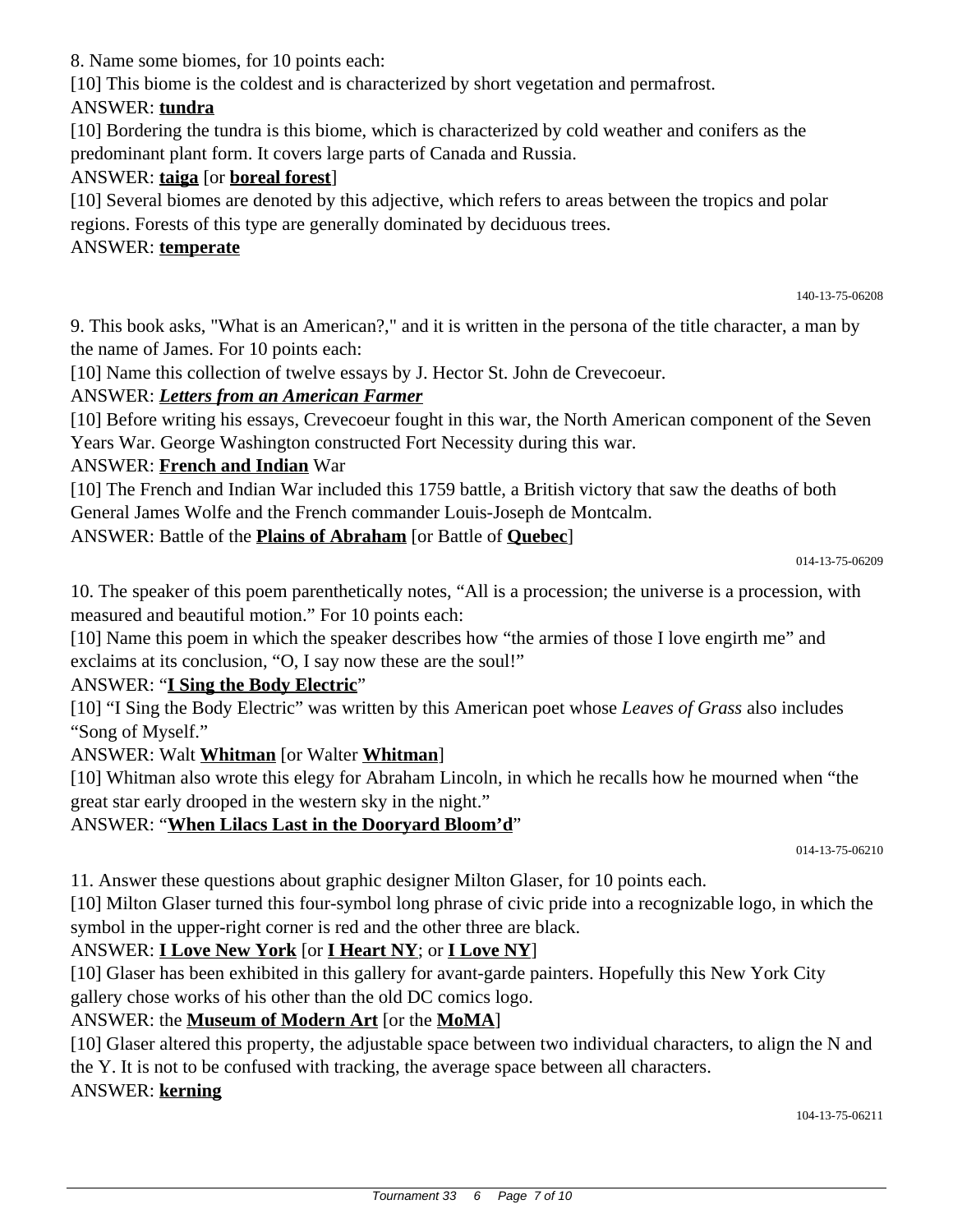8. Name some biomes, for 10 points each:

[10] This biome is the coldest and is characterized by short vegetation and permafrost.

## ANSWER: **tundra**

[10] Bordering the tundra is this biome, which is characterized by cold weather and conifers as the predominant plant form. It covers large parts of Canada and Russia.

# ANSWER: **taiga** [or **boreal forest**]

[10] Several biomes are denoted by this adjective, which refers to areas between the tropics and polar regions. Forests of this type are generally dominated by deciduous trees.

### ANSWER: **temperate**

140-13-75-06208

9. This book asks, "What is an American?," and it is written in the persona of the title character, a man by the name of James. For 10 points each:

[10] Name this collection of twelve essays by J. Hector St. John de Crevecoeur.

### ANSWER: *Letters from an American Farmer*

[10] Before writing his essays, Crevecoeur fought in this war, the North American component of the Seven Years War. George Washington constructed Fort Necessity during this war.

#### ANSWER: **French and Indian** War

[10] The French and Indian War included this 1759 battle, a British victory that saw the deaths of both General James Wolfe and the French commander Louis-Joseph de Montcalm.

ANSWER: Battle of the **Plains of Abraham** [or Battle of **Quebec**]

014-13-75-06209

10. The speaker of this poem parenthetically notes, "All is a procession; the universe is a procession, with measured and beautiful motion." For 10 points each:

[10] Name this poem in which the speaker describes how "the armies of those I love engirth me" and exclaims at its conclusion, "O, I say now these are the soul!"

### ANSWER: "**I Sing the Body Electric**"

[10] "I Sing the Body Electric" was written by this American poet whose *Leaves of Grass* also includes "Song of Myself."

### ANSWER: Walt **Whitman** [or Walter **Whitman**]

[10] Whitman also wrote this elegy for Abraham Lincoln, in which he recalls how he mourned when "the great star early drooped in the western sky in the night."

### ANSWER: "**When Lilacs Last in the Dooryard Bloom'd**"

014-13-75-06210

11. Answer these questions about graphic designer Milton Glaser, for 10 points each.

[10] Milton Glaser turned this four-symbol long phrase of civic pride into a recognizable logo, in which the symbol in the upper-right corner is red and the other three are black.

# ANSWER: **I Love New York** [or **I Heart NY**; or **I Love NY**]

[10] Glaser has been exhibited in this gallery for avant-garde painters. Hopefully this New York City gallery chose works of his other than the old DC comics logo.

### ANSWER: the **Museum of Modern Art** [or the **MoMA**]

[10] Glaser altered this property, the adjustable space between two individual characters, to align the N and the Y. It is not to be confused with tracking, the average space between all characters.

### ANSWER: **kerning**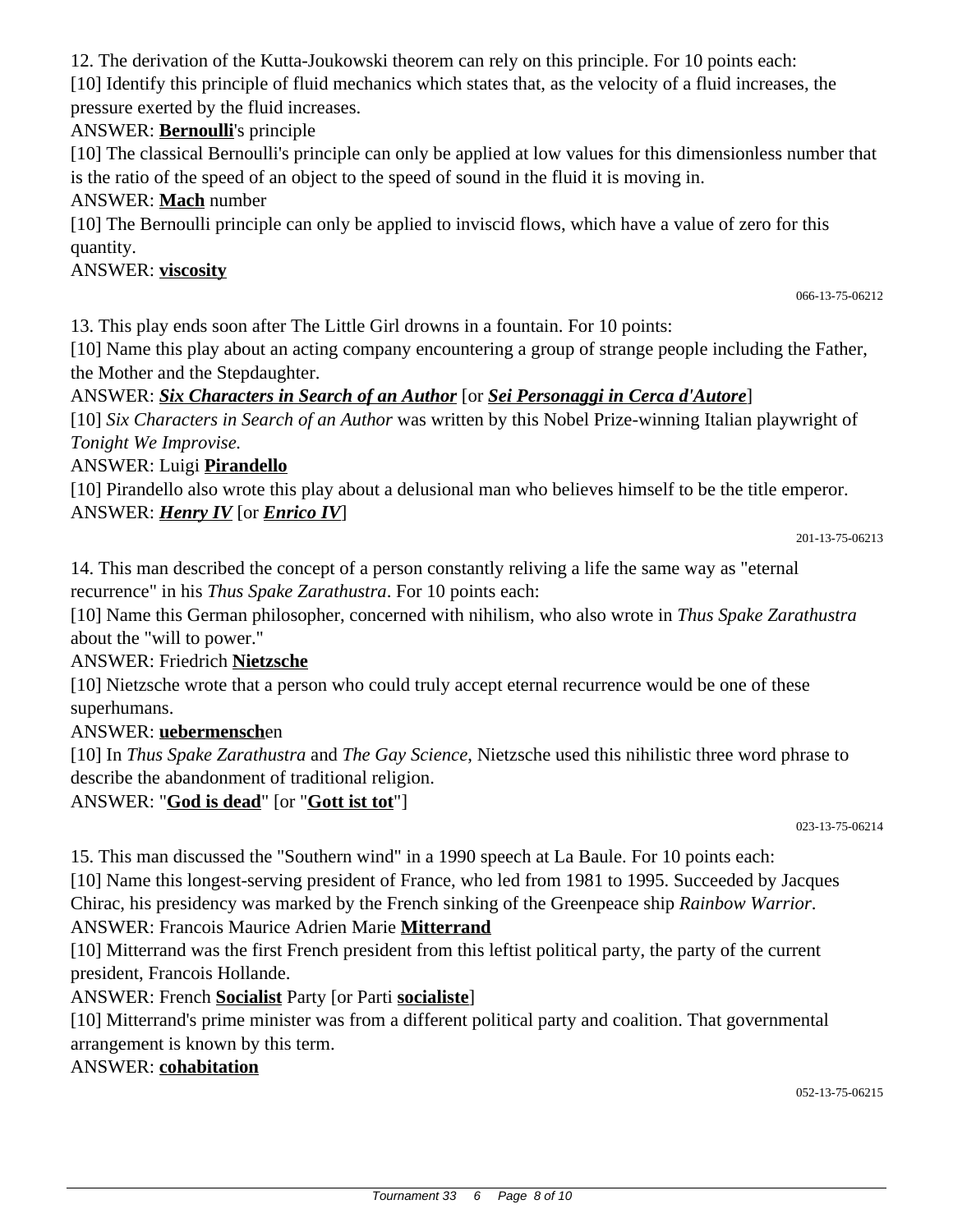12. The derivation of the Kutta-Joukowski theorem can rely on this principle. For 10 points each:

[10] Identify this principle of fluid mechanics which states that, as the velocity of a fluid increases, the pressure exerted by the fluid increases.

# ANSWER: **Bernoulli**'s principle

[10] The classical Bernoulli's principle can only be applied at low values for this dimensionless number that is the ratio of the speed of an object to the speed of sound in the fluid it is moving in.

### ANSWER: **Mach** number

[10] The Bernoulli principle can only be applied to inviscid flows, which have a value of zero for this quantity.

# ANSWER: **viscosity**

066-13-75-06212

13. This play ends soon after The Little Girl drowns in a fountain. For 10 points:

[10] Name this play about an acting company encountering a group of strange people including the Father, the Mother and the Stepdaughter.

## ANSWER: *Six Characters in Search of an Author* [or *Sei Personaggi in Cerca d'Autore*]

[10] *Six Characters in Search of an Author* was written by this Nobel Prize-winning Italian playwright of *Tonight We Improvise.*

## ANSWER: Luigi **Pirandello**

[10] Pirandello also wrote this play about a delusional man who believes himself to be the title emperor. ANSWER: *Henry IV* [or *Enrico IV*]

201-13-75-06213

14. This man described the concept of a person constantly reliving a life the same way as "eternal recurrence" in his *Thus Spake Zarathustra*. For 10 points each:

[10] Name this German philosopher, concerned with nihilism, who also wrote in *Thus Spake Zarathustra* about the "will to power."

# ANSWER: Friedrich **Nietzsche**

[10] Nietzsche wrote that a person who could truly accept eternal recurrence would be one of these superhumans.

### ANSWER: **uebermensch**en

[10] In *Thus Spake Zarathustra* and *The Gay Science*, Nietzsche used this nihilistic three word phrase to describe the abandonment of traditional religion.

ANSWER: "**God is dead**" [or "**Gott ist tot**"]

023-13-75-06214

15. This man discussed the "Southern wind" in a 1990 speech at La Baule. For 10 points each:

[10] Name this longest-serving president of France, who led from 1981 to 1995. Succeeded by Jacques Chirac, his presidency was marked by the French sinking of the Greenpeace ship *Rainbow Warrior*.

# ANSWER: Francois Maurice Adrien Marie **Mitterrand**

[10] Mitterrand was the first French president from this leftist political party, the party of the current president, Francois Hollande.

ANSWER: French **Socialist** Party [or Parti **socialiste**]

[10] Mitterrand's prime minister was from a different political party and coalition. That governmental arrangement is known by this term.

### ANSWER: **cohabitation**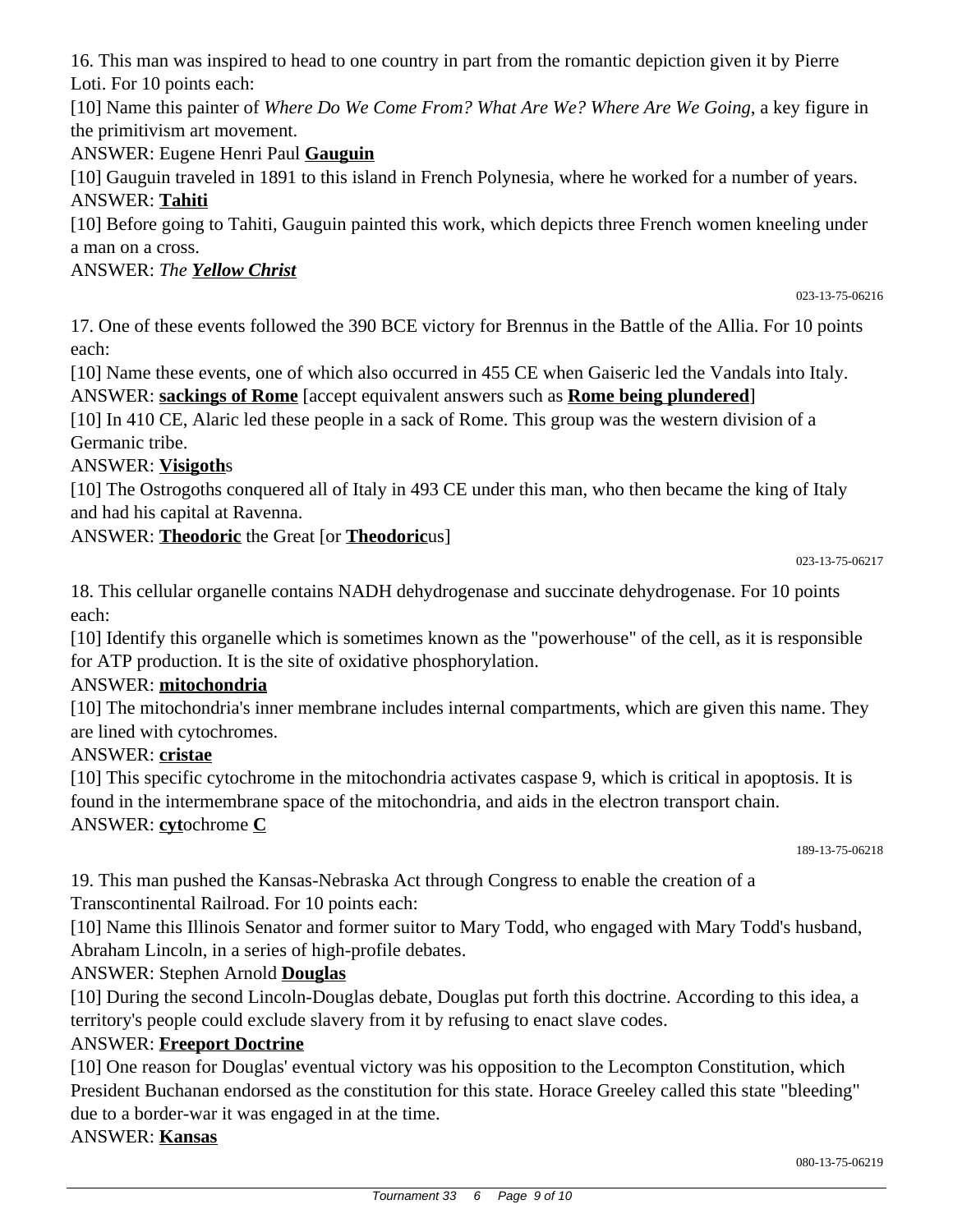16. This man was inspired to head to one country in part from the romantic depiction given it by Pierre Loti. For 10 points each:

[10] Name this painter of *Where Do We Come From? What Are We? Where Are We Going*, a key figure in the primitivism art movement.

ANSWER: Eugene Henri Paul **Gauguin**

[10] Gauguin traveled in 1891 to this island in French Polynesia, where he worked for a number of years. ANSWER: **Tahiti**

[10] Before going to Tahiti, Gauguin painted this work, which depicts three French women kneeling under a man on a cross.

## ANSWER: *The Yellow Christ*

023-13-75-06216

17. One of these events followed the 390 BCE victory for Brennus in the Battle of the Allia. For 10 points each:

[10] Name these events, one of which also occurred in 455 CE when Gaiseric led the Vandals into Italy. ANSWER: **sackings of Rome** [accept equivalent answers such as **Rome being plundered**]

[10] In 410 CE, Alaric led these people in a sack of Rome. This group was the western division of a Germanic tribe.

# ANSWER: **Visigoth**s

[10] The Ostrogoths conquered all of Italy in 493 CE under this man, who then became the king of Italy and had his capital at Ravenna.

## ANSWER: **Theodoric** the Great [or **Theodoric**us]

023-13-75-06217

18. This cellular organelle contains NADH dehydrogenase and succinate dehydrogenase. For 10 points each:

[10] Identify this organelle which is sometimes known as the "powerhouse" of the cell, as it is responsible for ATP production. It is the site of oxidative phosphorylation.

# ANSWER: **mitochondria**

[10] The mitochondria's inner membrane includes internal compartments, which are given this name. They are lined with cytochromes.

### ANSWER: **cristae**

[10] This specific cytochrome in the mitochondria activates caspase 9, which is critical in apoptosis. It is found in the intermembrane space of the mitochondria, and aids in the electron transport chain. ANSWER: **cyt**ochrome **C**

189-13-75-06218

19. This man pushed the Kansas-Nebraska Act through Congress to enable the creation of a Transcontinental Railroad. For 10 points each:

[10] Name this Illinois Senator and former suitor to Mary Todd, who engaged with Mary Todd's husband, Abraham Lincoln, in a series of high-profile debates.

# ANSWER: Stephen Arnold **Douglas**

[10] During the second Lincoln-Douglas debate, Douglas put forth this doctrine. According to this idea, a territory's people could exclude slavery from it by refusing to enact slave codes.

# ANSWER: **Freeport Doctrine**

[10] One reason for Douglas' eventual victory was his opposition to the Lecompton Constitution, which President Buchanan endorsed as the constitution for this state. Horace Greeley called this state "bleeding" due to a border-war it was engaged in at the time.

### ANSWER: **Kansas**